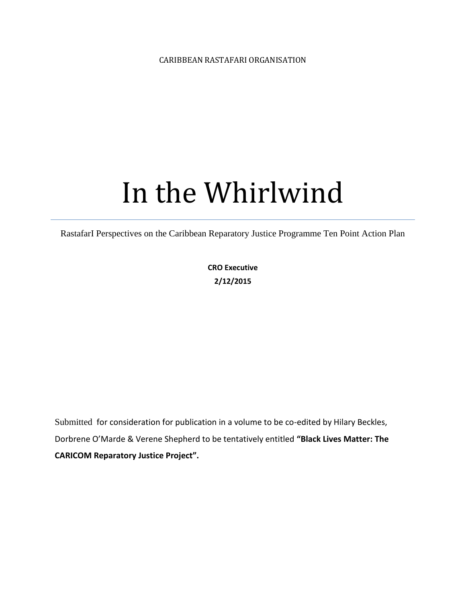# In the Whirlwind

RastafarI Perspectives on the Caribbean Reparatory Justice Programme Ten Point Action Plan

**CRO Executive 2/12/2015**

Submitted for consideration for publication in a volume to be co-edited by Hilary Beckles, Dorbrene O'Marde & Verene Shepherd to be tentatively entitled **"Black Lives Matter: The CARICOM Reparatory Justice Project".**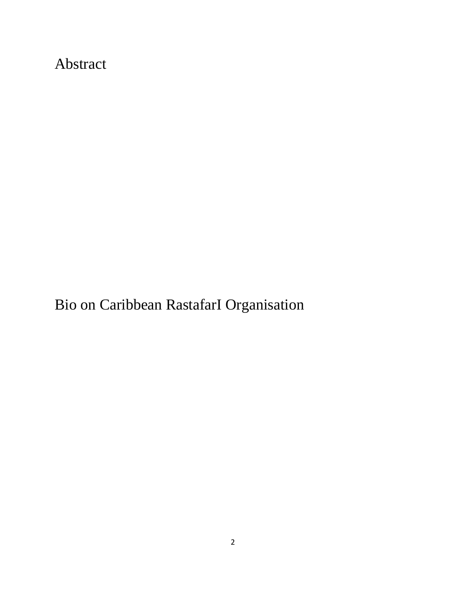Abstract

Bio on Caribbean RastafarI Organisation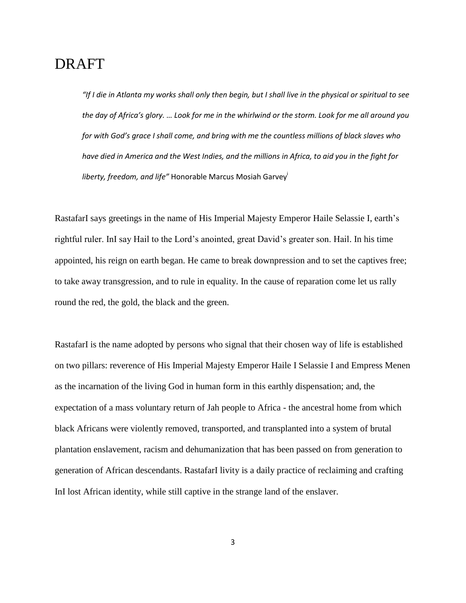# DRAFT

*"If I die in Atlanta my works shall only then begin, but I shall live in the physical or spiritual to see the day of Africa's glory. … Look for me in the whirlwind or the storm. Look for me all around you for with God's grace I shall come, and bring with me the countless millions of black slaves who have died in America and the West Indies, and the millions in Africa, to aid you in the fight for liberty, freedom, and life"* Honorable Marcus Mosiah Garvey<sup>i</sup>

RastafarI says greetings in the name of His Imperial Majesty Emperor Haile Selassie I, earth's rightful ruler. InI say Hail to the Lord's anointed, great David's greater son. Hail. In his time appointed, his reign on earth began. He came to break downpression and to set the captives free; to take away transgression, and to rule in equality. In the cause of reparation come let us rally round the red, the gold, the black and the green.

RastafarI is the name adopted by persons who signal that their chosen way of life is established on two pillars: reverence of His Imperial Majesty Emperor Haile I Selassie I and Empress Menen as the incarnation of the living God in human form in this earthly dispensation; and, the expectation of a mass voluntary return of Jah people to Africa - the ancestral home from which black Africans were violently removed, transported, and transplanted into a system of brutal plantation enslavement, racism and dehumanization that has been passed on from generation to generation of African descendants. RastafarI livity is a daily practice of reclaiming and crafting InI lost African identity, while still captive in the strange land of the enslaver.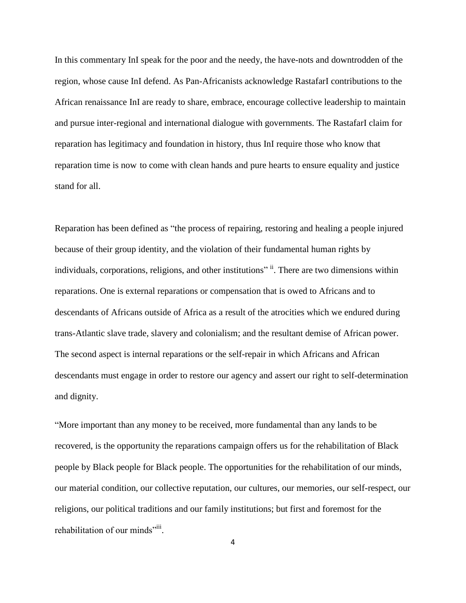In this commentary InI speak for the poor and the needy, the have-nots and downtrodden of the region, whose cause InI defend. As Pan-Africanists acknowledge RastafarI contributions to the African renaissance InI are ready to share, embrace, encourage collective leadership to maintain and pursue inter-regional and international dialogue with governments. The RastafarI claim for reparation has legitimacy and foundation in history, thus InI require those who know that reparation time is now to come with clean hands and pure hearts to ensure equality and justice stand for all.

Reparation has been defined as "the process of repairing, restoring and healing a people injured because of their group identity, and the violation of their fundamental human rights by individuals, corporations, religions, and other institutions" ii. There are two dimensions within reparations. One is external reparations or compensation that is owed to Africans and to descendants of Africans outside of Africa as a result of the atrocities which we endured during trans-Atlantic slave trade, slavery and colonialism; and the resultant demise of African power. The second aspect is internal reparations or the self-repair in which Africans and African descendants must engage in order to restore our agency and assert our right to self-determination and dignity.

"More important than any money to be received, more fundamental than any lands to be recovered, is the opportunity the reparations campaign offers us for the rehabilitation of Black people by Black people for Black people. The opportunities for the rehabilitation of our minds, our material condition, our collective reputation, our cultures, our memories, our self-respect, our religions, our political traditions and our family institutions; but first and foremost for the rehabilitation of our minds"iii.

4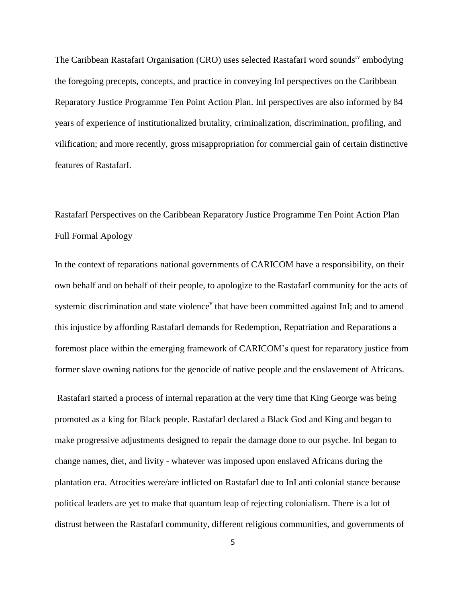The Caribbean RastafarI Organisation (CRO) uses selected RastafarI word sounds<sup>iv</sup> embodying the foregoing precepts, concepts, and practice in conveying InI perspectives on the Caribbean Reparatory Justice Programme Ten Point Action Plan. InI perspectives are also informed by 84 years of experience of institutionalized brutality, criminalization, discrimination, profiling, and vilification; and more recently, gross misappropriation for commercial gain of certain distinctive features of RastafarI.

RastafarI Perspectives on the Caribbean Reparatory Justice Programme Ten Point Action Plan Full Formal Apology

In the context of reparations national governments of CARICOM have a responsibility, on their own behalf and on behalf of their people, to apologize to the RastafarI community for the acts of systemic discrimination and state violence<sup>v</sup> that have been committed against InI; and to amend this injustice by affording RastafarI demands for Redemption, Repatriation and Reparations a foremost place within the emerging framework of CARICOM's quest for reparatory justice from former slave owning nations for the genocide of native people and the enslavement of Africans.

RastafarI started a process of internal reparation at the very time that King George was being promoted as a king for Black people. RastafarI declared a Black God and King and began to make progressive adjustments designed to repair the damage done to our psyche. InI began to change names, diet, and livity - whatever was imposed upon enslaved Africans during the plantation era. Atrocities were/are inflicted on RastafarI due to InI anti colonial stance because political leaders are yet to make that quantum leap of rejecting colonialism. There is a lot of distrust between the RastafarI community, different religious communities, and governments of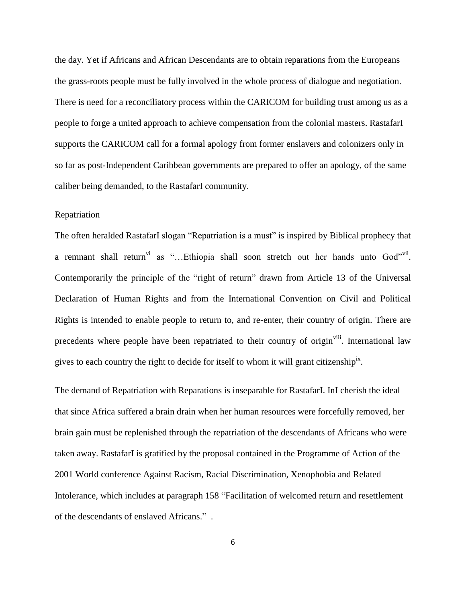the day. Yet if Africans and African Descendants are to obtain reparations from the Europeans the grass-roots people must be fully involved in the whole process of dialogue and negotiation. There is need for a reconciliatory process within the CARICOM for building trust among us as a people to forge a united approach to achieve compensation from the colonial masters. RastafarI supports the CARICOM call for a formal apology from former enslavers and colonizers only in so far as post-Independent Caribbean governments are prepared to offer an apology, of the same caliber being demanded, to the RastafarI community.

## Repatriation

The often heralded RastafarI slogan "Repatriation is a must" is inspired by Biblical prophecy that a remnant shall return<sup>vi</sup> as "...Ethiopia shall soon stretch out her hands unto God"<sup>vii</sup>. Contemporarily the principle of the "right of return" drawn from Article 13 of the Universal Declaration of Human Rights and from the International Convention on Civil and Political Rights is intended to enable people to return to, and re-enter, their country of origin. There are precedents where people have been repatriated to their country of origin<sup>viii</sup>. International law gives to each country the right to decide for itself to whom it will grant citizenship<sup>ix</sup>.

The demand of Repatriation with Reparations is inseparable for RastafarI. InI cherish the ideal that since Africa suffered a brain drain when her human resources were forcefully removed, her brain gain must be replenished through the repatriation of the descendants of Africans who were taken away. RastafarI is gratified by the proposal contained in the Programme of Action of the 2001 World conference Against Racism, Racial Discrimination, Xenophobia and Related Intolerance, which includes at paragraph 158 "Facilitation of welcomed return and resettlement of the descendants of enslaved Africans." .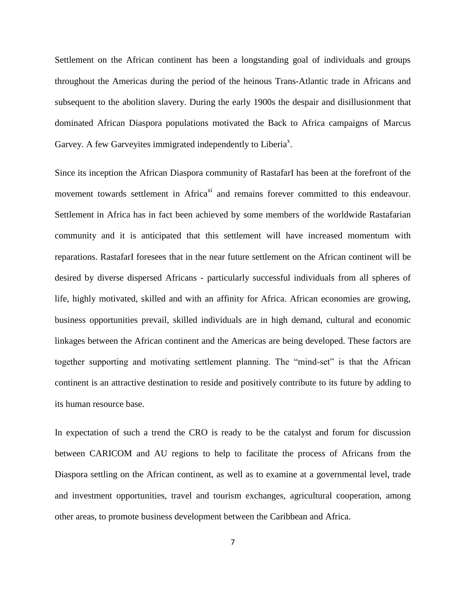Settlement on the African continent has been a longstanding goal of individuals and groups throughout the Americas during the period of the heinous Trans-Atlantic trade in Africans and subsequent to the abolition slavery. During the early 1900s the despair and disillusionment that dominated African Diaspora populations motivated the Back to Africa campaigns of Marcus Garvey. A few Garveyites immigrated independently to Liberia<sup>x</sup>.

Since its inception the African Diaspora community of RastafarI has been at the forefront of the movement towards settlement in Africa<sup>xi</sup> and remains forever committed to this endeavour. Settlement in Africa has in fact been achieved by some members of the worldwide Rastafarian community and it is anticipated that this settlement will have increased momentum with reparations. RastafarI foresees that in the near future settlement on the African continent will be desired by diverse dispersed Africans - particularly successful individuals from all spheres of life, highly motivated, skilled and with an affinity for Africa. African economies are growing, business opportunities prevail, skilled individuals are in high demand, cultural and economic linkages between the African continent and the Americas are being developed. These factors are together supporting and motivating settlement planning. The "mind-set" is that the African continent is an attractive destination to reside and positively contribute to its future by adding to its human resource base.

In expectation of such a trend the CRO is ready to be the catalyst and forum for discussion between CARICOM and AU regions to help to facilitate the process of Africans from the Diaspora settling on the African continent, as well as to examine at a governmental level, trade and investment opportunities, travel and tourism exchanges, agricultural cooperation, among other areas, to promote business development between the Caribbean and Africa.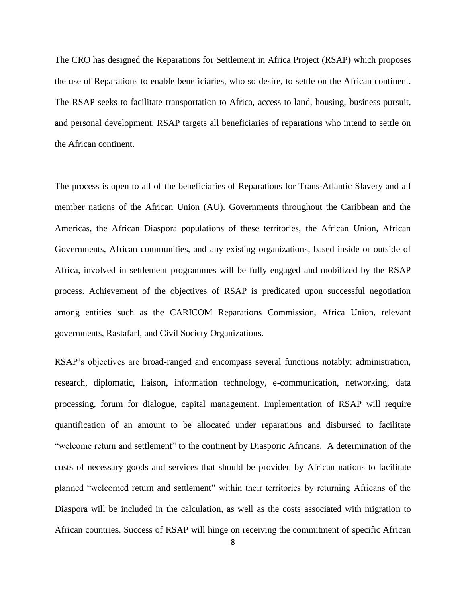The CRO has designed the Reparations for Settlement in Africa Project (RSAP) which proposes the use of Reparations to enable beneficiaries, who so desire, to settle on the African continent. The RSAP seeks to facilitate transportation to Africa, access to land, housing, business pursuit, and personal development. RSAP targets all beneficiaries of reparations who intend to settle on the African continent.

The process is open to all of the beneficiaries of Reparations for Trans-Atlantic Slavery and all member nations of the African Union (AU). Governments throughout the Caribbean and the Americas, the African Diaspora populations of these territories, the African Union, African Governments, African communities, and any existing organizations, based inside or outside of Africa, involved in settlement programmes will be fully engaged and mobilized by the RSAP process. Achievement of the objectives of RSAP is predicated upon successful negotiation among entities such as the CARICOM Reparations Commission, Africa Union, relevant governments, RastafarI, and Civil Society Organizations.

RSAP's objectives are broad-ranged and encompass several functions notably: administration, research, diplomatic, liaison, information technology, e-communication, networking, data processing, forum for dialogue, capital management. Implementation of RSAP will require quantification of an amount to be allocated under reparations and disbursed to facilitate "welcome return and settlement" to the continent by Diasporic Africans. A determination of the costs of necessary goods and services that should be provided by African nations to facilitate planned "welcomed return and settlement" within their territories by returning Africans of the Diaspora will be included in the calculation, as well as the costs associated with migration to African countries. Success of RSAP will hinge on receiving the commitment of specific African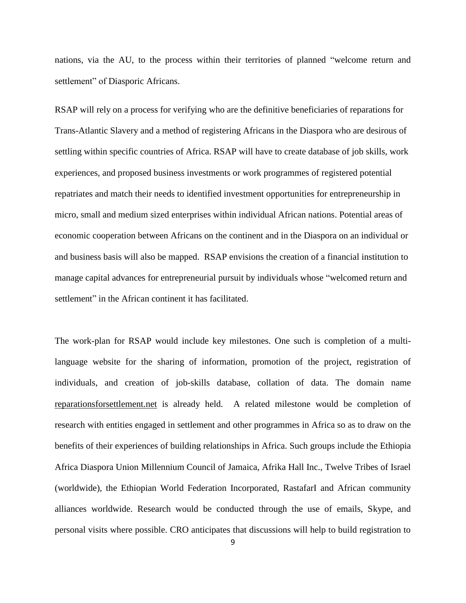nations, via the AU, to the process within their territories of planned "welcome return and settlement" of Diasporic Africans.

RSAP will rely on a process for verifying who are the definitive beneficiaries of reparations for Trans-Atlantic Slavery and a method of registering Africans in the Diaspora who are desirous of settling within specific countries of Africa. RSAP will have to create database of job skills, work experiences, and proposed business investments or work programmes of registered potential repatriates and match their needs to identified investment opportunities for entrepreneurship in micro, small and medium sized enterprises within individual African nations. Potential areas of economic cooperation between Africans on the continent and in the Diaspora on an individual or and business basis will also be mapped. RSAP envisions the creation of a financial institution to manage capital advances for entrepreneurial pursuit by individuals whose "welcomed return and settlement" in the African continent it has facilitated.

The work-plan for RSAP would include key milestones. One such is completion of a multilanguage website for the sharing of information, promotion of the project, registration of individuals, and creation of job-skills database, collation of data. The domain name reparationsforsettlement.net is already held. A related milestone would be completion of research with entities engaged in settlement and other programmes in Africa so as to draw on the benefits of their experiences of building relationships in Africa. Such groups include the Ethiopia Africa Diaspora Union Millennium Council of Jamaica, Afrika Hall Inc., Twelve Tribes of Israel (worldwide), the Ethiopian World Federation Incorporated, RastafarI and African community alliances worldwide. Research would be conducted through the use of emails, Skype, and personal visits where possible. CRO anticipates that discussions will help to build registration to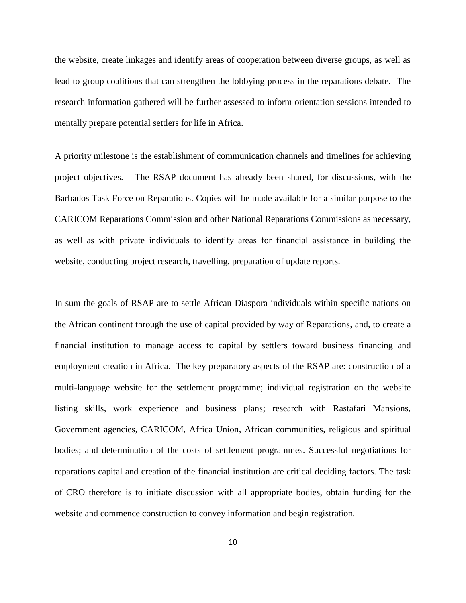the website, create linkages and identify areas of cooperation between diverse groups, as well as lead to group coalitions that can strengthen the lobbying process in the reparations debate. The research information gathered will be further assessed to inform orientation sessions intended to mentally prepare potential settlers for life in Africa.

A priority milestone is the establishment of communication channels and timelines for achieving project objectives. The RSAP document has already been shared, for discussions, with the Barbados Task Force on Reparations. Copies will be made available for a similar purpose to the CARICOM Reparations Commission and other National Reparations Commissions as necessary, as well as with private individuals to identify areas for financial assistance in building the website, conducting project research, travelling, preparation of update reports.

In sum the goals of RSAP are to settle African Diaspora individuals within specific nations on the African continent through the use of capital provided by way of Reparations, and, to create a financial institution to manage access to capital by settlers toward business financing and employment creation in Africa. The key preparatory aspects of the RSAP are: construction of a multi-language website for the settlement programme; individual registration on the website listing skills, work experience and business plans; research with Rastafari Mansions, Government agencies, CARICOM, Africa Union, African communities, religious and spiritual bodies; and determination of the costs of settlement programmes. Successful negotiations for reparations capital and creation of the financial institution are critical deciding factors. The task of CRO therefore is to initiate discussion with all appropriate bodies, obtain funding for the website and commence construction to convey information and begin registration.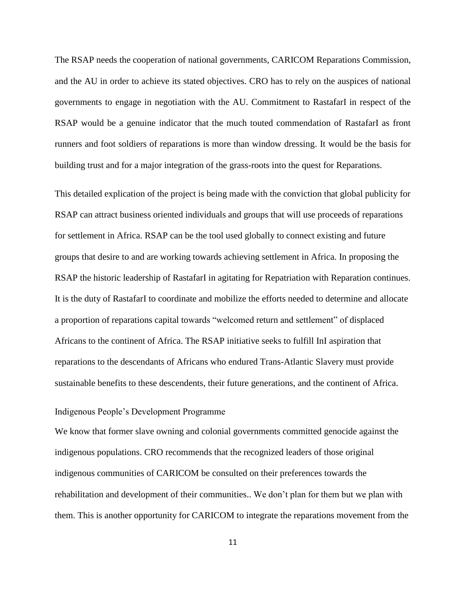The RSAP needs the cooperation of national governments, CARICOM Reparations Commission, and the AU in order to achieve its stated objectives. CRO has to rely on the auspices of national governments to engage in negotiation with the AU. Commitment to RastafarI in respect of the RSAP would be a genuine indicator that the much touted commendation of RastafarI as front runners and foot soldiers of reparations is more than window dressing. It would be the basis for building trust and for a major integration of the grass-roots into the quest for Reparations.

This detailed explication of the project is being made with the conviction that global publicity for RSAP can attract business oriented individuals and groups that will use proceeds of reparations for settlement in Africa. RSAP can be the tool used globally to connect existing and future groups that desire to and are working towards achieving settlement in Africa. In proposing the RSAP the historic leadership of RastafarI in agitating for Repatriation with Reparation continues. It is the duty of RastafarI to coordinate and mobilize the efforts needed to determine and allocate a proportion of reparations capital towards "welcomed return and settlement" of displaced Africans to the continent of Africa. The RSAP initiative seeks to fulfill InI aspiration that reparations to the descendants of Africans who endured Trans-Atlantic Slavery must provide sustainable benefits to these descendents, their future generations, and the continent of Africa.

# Indigenous People's Development Programme

We know that former slave owning and colonial governments committed genocide against the indigenous populations. CRO recommends that the recognized leaders of those original indigenous communities of CARICOM be consulted on their preferences towards the rehabilitation and development of their communities.. We don't plan for them but we plan with them. This is another opportunity for CARICOM to integrate the reparations movement from the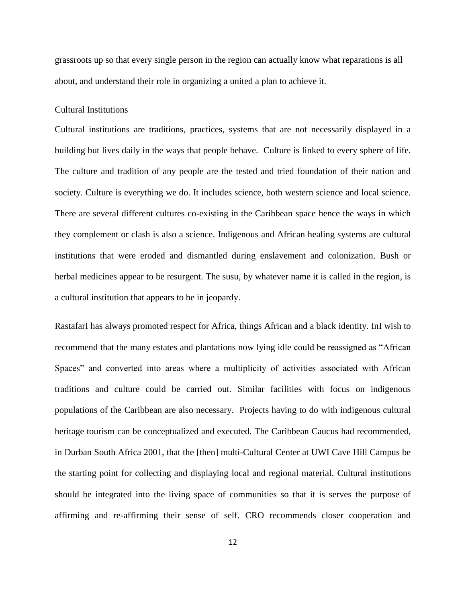grassroots up so that every single person in the region can actually know what reparations is all about, and understand their role in organizing a united a plan to achieve it.

# Cultural Institutions

Cultural institutions are traditions, practices, systems that are not necessarily displayed in a building but lives daily in the ways that people behave. Culture is linked to every sphere of life. The culture and tradition of any people are the tested and tried foundation of their nation and society. Culture is everything we do. It includes science, both western science and local science. There are several different cultures co-existing in the Caribbean space hence the ways in which they complement or clash is also a science. Indigenous and African healing systems are cultural institutions that were eroded and dismantled during enslavement and colonization. Bush or herbal medicines appear to be resurgent. The susu, by whatever name it is called in the region, is a cultural institution that appears to be in jeopardy.

RastafarI has always promoted respect for Africa, things African and a black identity. InI wish to recommend that the many estates and plantations now lying idle could be reassigned as "African Spaces" and converted into areas where a multiplicity of activities associated with African traditions and culture could be carried out. Similar facilities with focus on indigenous populations of the Caribbean are also necessary. Projects having to do with indigenous cultural heritage tourism can be conceptualized and executed. The Caribbean Caucus had recommended, in Durban South Africa 2001, that the [then] multi-Cultural Center at UWI Cave Hill Campus be the starting point for collecting and displaying local and regional material. Cultural institutions should be integrated into the living space of communities so that it is serves the purpose of affirming and re-affirming their sense of self. CRO recommends closer cooperation and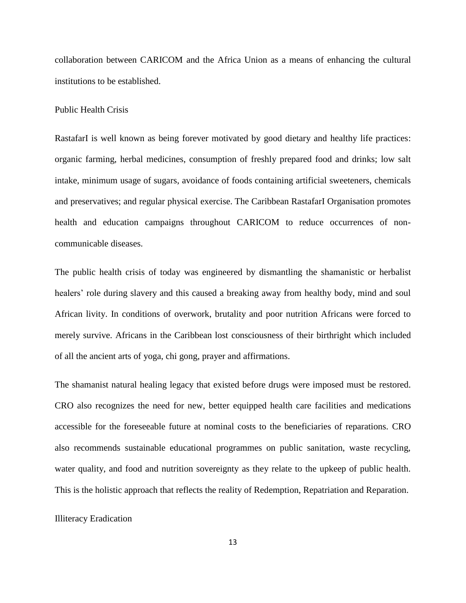collaboration between CARICOM and the Africa Union as a means of enhancing the cultural institutions to be established.

# Public Health Crisis

RastafarI is well known as being forever motivated by good dietary and healthy life practices: organic farming, herbal medicines, consumption of freshly prepared food and drinks; low salt intake, minimum usage of sugars, avoidance of foods containing artificial sweeteners, chemicals and preservatives; and regular physical exercise. The Caribbean RastafarI Organisation promotes health and education campaigns throughout CARICOM to reduce occurrences of noncommunicable diseases.

The public health crisis of today was engineered by dismantling the shamanistic or herbalist healers' role during slavery and this caused a breaking away from healthy body, mind and soul African livity. In conditions of overwork, brutality and poor nutrition Africans were forced to merely survive. Africans in the Caribbean lost consciousness of their birthright which included of all the ancient arts of yoga, chi gong, prayer and affirmations.

The shamanist natural healing legacy that existed before drugs were imposed must be restored. CRO also recognizes the need for new, better equipped health care facilities and medications accessible for the foreseeable future at nominal costs to the beneficiaries of reparations. CRO also recommends sustainable educational programmes on public sanitation, waste recycling, water quality, and food and nutrition sovereignty as they relate to the upkeep of public health. This is the holistic approach that reflects the reality of Redemption, Repatriation and Reparation.

#### Illiteracy Eradication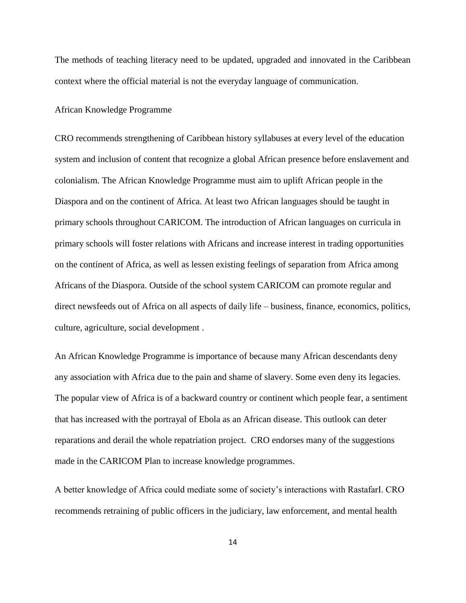The methods of teaching literacy need to be updated, upgraded and innovated in the Caribbean context where the official material is not the everyday language of communication.

#### African Knowledge Programme

CRO recommends strengthening of Caribbean history syllabuses at every level of the education system and inclusion of content that recognize a global African presence before enslavement and colonialism. The African Knowledge Programme must aim to uplift African people in the Diaspora and on the continent of Africa. At least two African languages should be taught in primary schools throughout CARICOM. The introduction of African languages on curricula in primary schools will foster relations with Africans and increase interest in trading opportunities on the continent of Africa, as well as lessen existing feelings of separation from Africa among Africans of the Diaspora. Outside of the school system CARICOM can promote regular and direct newsfeeds out of Africa on all aspects of daily life – business, finance, economics, politics, culture, agriculture, social development .

An African Knowledge Programme is importance of because many African descendants deny any association with Africa due to the pain and shame of slavery. Some even deny its legacies. The popular view of Africa is of a backward country or continent which people fear, a sentiment that has increased with the portrayal of Ebola as an African disease. This outlook can deter reparations and derail the whole repatriation project. CRO endorses many of the suggestions made in the CARICOM Plan to increase knowledge programmes.

A better knowledge of Africa could mediate some of society's interactions with RastafarI. CRO recommends retraining of public officers in the judiciary, law enforcement, and mental health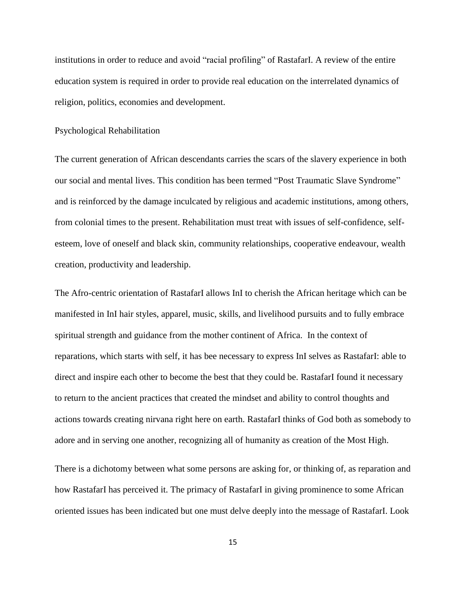institutions in order to reduce and avoid "racial profiling" of RastafarI. A review of the entire education system is required in order to provide real education on the interrelated dynamics of religion, politics, economies and development.

## Psychological Rehabilitation

The current generation of African descendants carries the scars of the slavery experience in both our social and mental lives. This condition has been termed "Post Traumatic Slave Syndrome" and is reinforced by the damage inculcated by religious and academic institutions, among others, from colonial times to the present. Rehabilitation must treat with issues of self-confidence, selfesteem, love of oneself and black skin, community relationships, cooperative endeavour, wealth creation, productivity and leadership.

The Afro-centric orientation of RastafarI allows InI to cherish the African heritage which can be manifested in InI hair styles, apparel, music, skills, and livelihood pursuits and to fully embrace spiritual strength and guidance from the mother continent of Africa. In the context of reparations, which starts with self, it has bee necessary to express InI selves as RastafarI: able to direct and inspire each other to become the best that they could be. RastafarI found it necessary to return to the ancient practices that created the mindset and ability to control thoughts and actions towards creating nirvana right here on earth. RastafarI thinks of God both as somebody to adore and in serving one another, recognizing all of humanity as creation of the Most High.

There is a dichotomy between what some persons are asking for, or thinking of, as reparation and how RastafarI has perceived it. The primacy of RastafarI in giving prominence to some African oriented issues has been indicated but one must delve deeply into the message of RastafarI. Look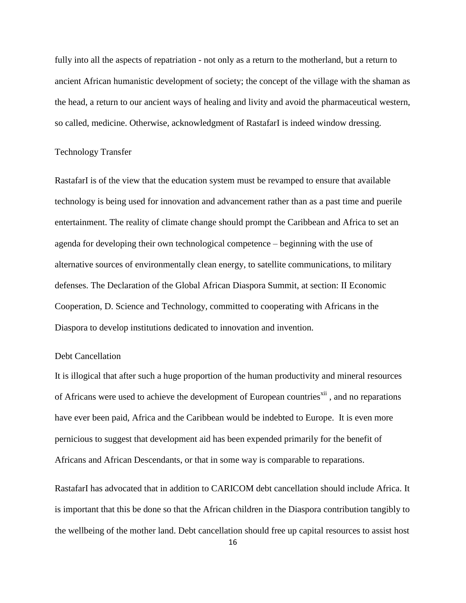fully into all the aspects of repatriation - not only as a return to the motherland, but a return to ancient African humanistic development of society; the concept of the village with the shaman as the head, a return to our ancient ways of healing and livity and avoid the pharmaceutical western, so called, medicine. Otherwise, acknowledgment of RastafarI is indeed window dressing.

#### Technology Transfer

RastafarI is of the view that the education system must be revamped to ensure that available technology is being used for innovation and advancement rather than as a past time and puerile entertainment. The reality of climate change should prompt the Caribbean and Africa to set an agenda for developing their own technological competence – beginning with the use of alternative sources of environmentally clean energy, to satellite communications, to military defenses. The Declaration of the Global African Diaspora Summit, at section: II Economic Cooperation, D. Science and Technology, committed to cooperating with Africans in the Diaspora to develop institutions dedicated to innovation and invention.

# Debt Cancellation

It is illogical that after such a huge proportion of the human productivity and mineral resources of Africans were used to achieve the development of European countries<sup>xii</sup>, and no reparations have ever been paid, Africa and the Caribbean would be indebted to Europe. It is even more pernicious to suggest that development aid has been expended primarily for the benefit of Africans and African Descendants, or that in some way is comparable to reparations.

RastafarI has advocated that in addition to CARICOM debt cancellation should include Africa. It is important that this be done so that the African children in the Diaspora contribution tangibly to the wellbeing of the mother land. Debt cancellation should free up capital resources to assist host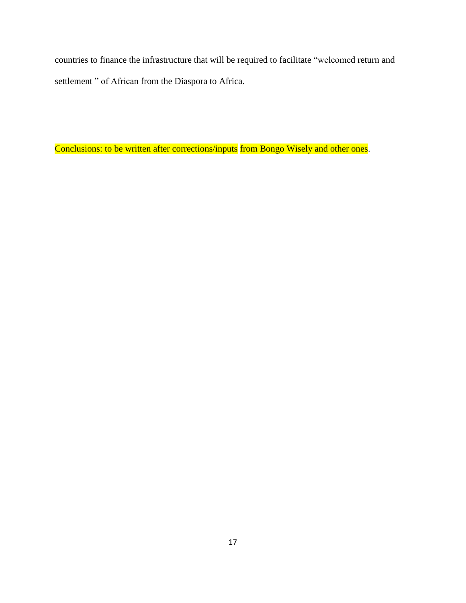countries to finance the infrastructure that will be required to facilitate "welcomed return and settlement " of African from the Diaspora to Africa.

Conclusions: to be written after corrections/inputs from Bongo Wisely and other ones.